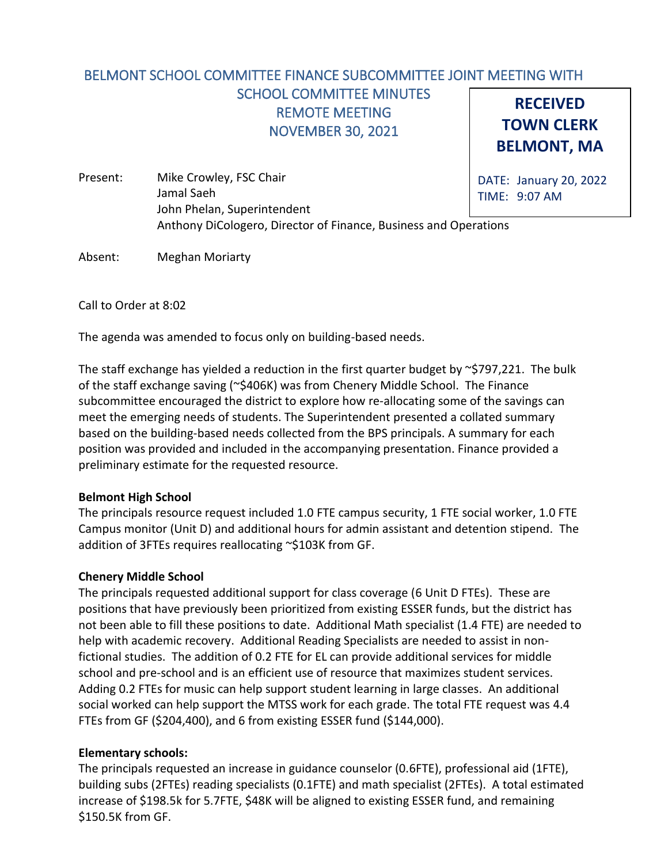#### **RECEIVED TOWN CLERK BELMONT, MA** BELMONT SCHOOL COMMITTEE FINANCE SUBCOMMITTEE JOINT MEETING WITH SCHOOL COMMITTEE MINUTES REMOTE MEETING NOVEMBER 30, 2021

- DATE: January 20, 2022 TIME: 9:07 AM Present: Mike Crowley, FSC Chair Jamal Saeh John Phelan, Superintendent Anthony DiCologero, Director of Finance, Business and Operations
- Absent: Meghan Moriarty

Call to Order at 8:02

The agenda was amended to focus only on building-based needs.

The staff exchange has yielded a reduction in the first quarter budget by  $\sim$ \$797,221. The bulk of the staff exchange saving (~\$406K) was from Chenery Middle School. The Finance subcommittee encouraged the district to explore how re-allocating some of the savings can meet the emerging needs of students. The Superintendent presented a collated summary based on the building-based needs collected from the BPS principals. A summary for each position was provided and included in the accompanying presentation. Finance provided a preliminary estimate for the requested resource.

### **Belmont High School**

The principals resource request included 1.0 FTE campus security, 1 FTE social worker, 1.0 FTE Campus monitor (Unit D) and additional hours for admin assistant and detention stipend. The addition of 3FTEs requires reallocating ~\$103K from GF.

### **Chenery Middle School**

The principals requested additional support for class coverage (6 Unit D FTEs). These are positions that have previously been prioritized from existing ESSER funds, but the district has not been able to fill these positions to date. Additional Math specialist (1.4 FTE) are needed to help with academic recovery. Additional Reading Specialists are needed to assist in nonfictional studies. The addition of 0.2 FTE for EL can provide additional services for middle school and pre-school and is an efficient use of resource that maximizes student services. Adding 0.2 FTEs for music can help support student learning in large classes. An additional social worked can help support the MTSS work for each grade. The total FTE request was 4.4 FTEs from GF (\$204,400), and 6 from existing ESSER fund (\$144,000).

## **Elementary schools:**

The principals requested an increase in guidance counselor (0.6FTE), professional aid (1FTE), building subs (2FTEs) reading specialists (0.1FTE) and math specialist (2FTEs). A total estimated increase of \$198.5k for 5.7FTE, \$48K will be aligned to existing ESSER fund, and remaining \$150.5K from GF.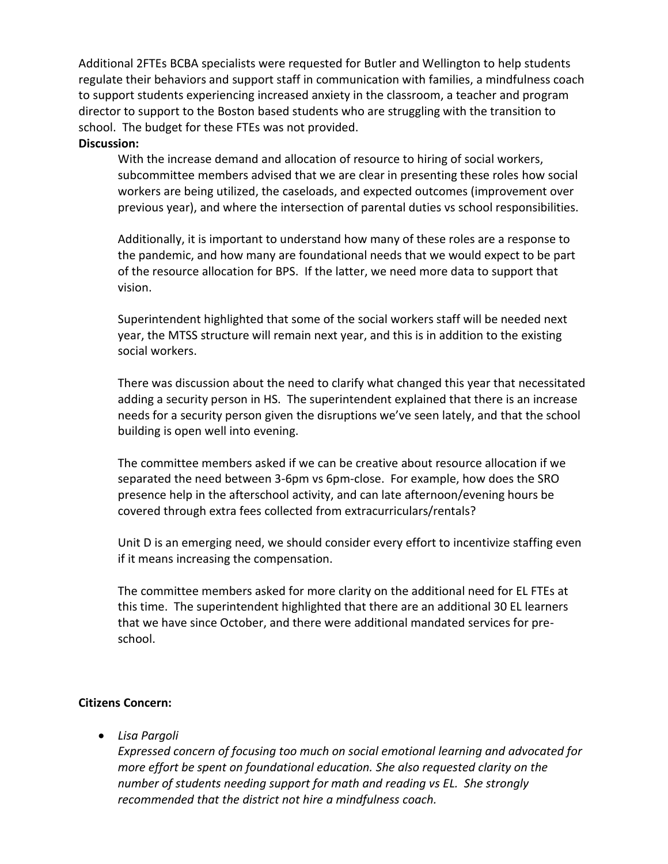Additional 2FTEs BCBA specialists were requested for Butler and Wellington to help students regulate their behaviors and support staff in communication with families, a mindfulness coach to support students experiencing increased anxiety in the classroom, a teacher and program director to support to the Boston based students who are struggling with the transition to school. The budget for these FTEs was not provided.

# **Discussion:**

With the increase demand and allocation of resource to hiring of social workers, subcommittee members advised that we are clear in presenting these roles how social workers are being utilized, the caseloads, and expected outcomes (improvement over previous year), and where the intersection of parental duties vs school responsibilities.

Additionally, it is important to understand how many of these roles are a response to the pandemic, and how many are foundational needs that we would expect to be part of the resource allocation for BPS. If the latter, we need more data to support that vision.

Superintendent highlighted that some of the social workers staff will be needed next year, the MTSS structure will remain next year, and this is in addition to the existing social workers.

There was discussion about the need to clarify what changed this year that necessitated adding a security person in HS. The superintendent explained that there is an increase needs for a security person given the disruptions we've seen lately, and that the school building is open well into evening.

The committee members asked if we can be creative about resource allocation if we separated the need between 3-6pm vs 6pm-close. For example, how does the SRO presence help in the afterschool activity, and can late afternoon/evening hours be covered through extra fees collected from extracurriculars/rentals?

Unit D is an emerging need, we should consider every effort to incentivize staffing even if it means increasing the compensation.

The committee members asked for more clarity on the additional need for EL FTEs at this time. The superintendent highlighted that there are an additional 30 EL learners that we have since October, and there were additional mandated services for preschool.

## **Citizens Concern:**

• *Lisa Pargoli*

*Expressed concern of focusing too much on social emotional learning and advocated for more effort be spent on foundational education. She also requested clarity on the number of students needing support for math and reading vs EL. She strongly recommended that the district not hire a mindfulness coach.*